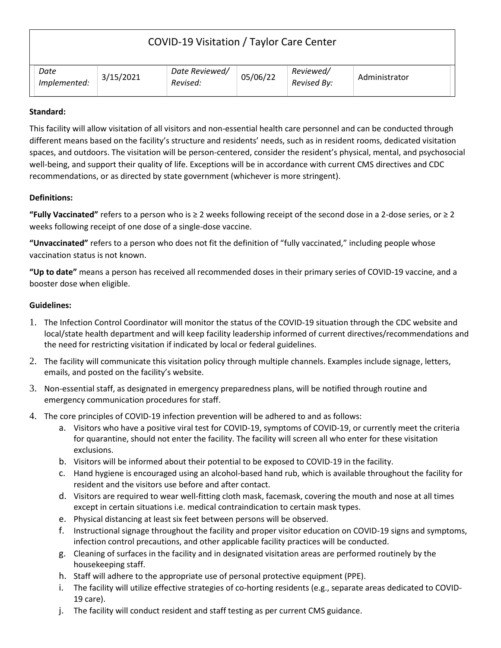| COVID-19 Visitation / Taylor Care Center |           |                            |          |                          |               |
|------------------------------------------|-----------|----------------------------|----------|--------------------------|---------------|
| Date<br>Implemented:                     | 3/15/2021 | Date Reviewed/<br>Revised: | 05/06/22 | Reviewed/<br>Revised By: | Administrator |

## **Standard:**

This facility will allow visitation of all visitors and non-essential health care personnel and can be conducted through different means based on the facility's structure and residents' needs, such as in resident rooms, dedicated visitation spaces, and outdoors. The visitation will be person-centered, consider the resident's physical, mental, and psychosocial well-being, and support their quality of life. Exceptions will be in accordance with current CMS directives and CDC recommendations, or as directed by state government (whichever is more stringent).

## **Definitions:**

**"Fully Vaccinated"** refers to a person who is ≥ 2 weeks following receipt of the second dose in a 2-dose series, or ≥ 2 weeks following receipt of one dose of a single-dose vaccine.

**"Unvaccinated"** refers to a person who does not fit the definition of "fully vaccinated," including people whose vaccination status is not known.

**"Up to date"** means a person has received all recommended doses in their primary series of COVID-19 vaccine, and a booster dose when eligible.

## **Guidelines:**

- 1. The Infection Control Coordinator will monitor the status of the COVID-19 situation through the CDC website and local/state health department and will keep facility leadership informed of current directives/recommendations and the need for restricting visitation if indicated by local or federal guidelines.
- 2. The facility will communicate this visitation policy through multiple channels. Examples include signage, letters, emails, and posted on the facility's website.
- 3. Non-essential staff, as designated in emergency preparedness plans, will be notified through routine and emergency communication procedures for staff.
- 4. The core principles of COVID-19 infection prevention will be adhered to and as follows:
	- a. Visitors who have a positive viral test for COVID-19, symptoms of COVID-19, or currently meet the criteria for quarantine, should not enter the facility. The facility will screen all who enter for these visitation exclusions.
	- b. Visitors will be informed about their potential to be exposed to COVID-19 in the facility.
	- c. Hand hygiene is encouraged using an alcohol-based hand rub, which is available throughout the facility for resident and the visitors use before and after contact.
	- d. Visitors are required to wear well-fitting cloth mask, facemask, covering the mouth and nose at all times except in certain situations i.e. medical contraindication to certain mask types.
	- e. Physical distancing at least six feet between persons will be observed.
	- f. Instructional signage throughout the facility and proper visitor education on COVID-19 signs and symptoms, infection control precautions, and other applicable facility practices will be conducted.
	- g. Cleaning of surfaces in the facility and in designated visitation areas are performed routinely by the housekeeping staff.
	- h. Staff will adhere to the appropriate use of personal protective equipment (PPE).
	- i. The facility will utilize effective strategies of co-horting residents (e.g., separate areas dedicated to COVID-19 care).
	- j. The facility will conduct resident and staff testing as per current CMS guidance.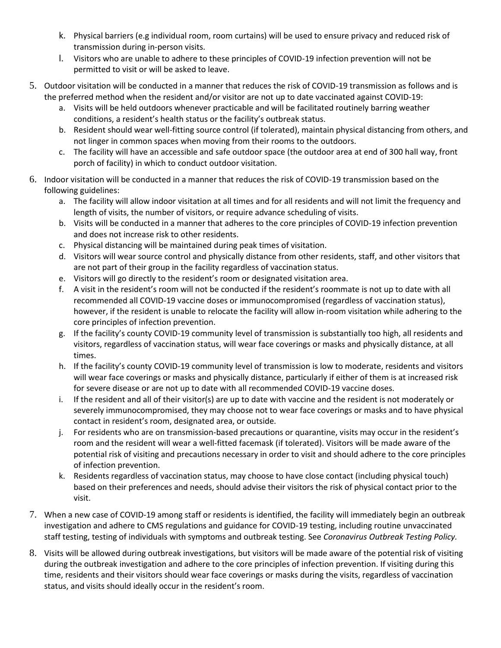- k. Physical barriers (e.g individual room, room curtains) will be used to ensure privacy and reduced risk of transmission during in-person visits.
- l. Visitors who are unable to adhere to these principles of COVID-19 infection prevention will not be permitted to visit or will be asked to leave.
- 5. Outdoor visitation will be conducted in a manner that reduces the risk of COVID-19 transmission as follows and is the preferred method when the resident and/or visitor are not up to date vaccinated against COVID-19:
	- a. Visits will be held outdoors whenever practicable and will be facilitated routinely barring weather conditions, a resident's health status or the facility's outbreak status.
	- b. Resident should wear well-fitting source control (if tolerated), maintain physical distancing from others, and not linger in common spaces when moving from their rooms to the outdoors.
	- c. The facility will have an accessible and safe outdoor space (the outdoor area at end of 300 hall way, front porch of facility) in which to conduct outdoor visitation.
- 6. Indoor visitation will be conducted in a manner that reduces the risk of COVID-19 transmission based on the following guidelines:
	- a. The facility will allow indoor visitation at all times and for all residents and will not limit the frequency and length of visits, the number of visitors, or require advance scheduling of visits.
	- b. Visits will be conducted in a manner that adheres to the core principles of COVID-19 infection prevention and does not increase risk to other residents.
	- c. Physical distancing will be maintained during peak times of visitation.
	- d. Visitors will wear source control and physically distance from other residents, staff, and other visitors that are not part of their group in the facility regardless of vaccination status.
	- e. Visitors will go directly to the resident's room or designated visitation area.
	- f. A visit in the resident's room will not be conducted if the resident's roommate is not up to date with all recommended all COVID-19 vaccine doses or immunocompromised (regardless of vaccination status), however, if the resident is unable to relocate the facility will allow in-room visitation while adhering to the core principles of infection prevention.
	- g. If the facility's county COVID-19 community level of transmission is substantially too high, all residents and visitors, regardless of vaccination status, will wear face coverings or masks and physically distance, at all times.
	- h. If the facility's county COVID-19 community level of transmission is low to moderate, residents and visitors will wear face coverings or masks and physically distance, particularly if either of them is at increased risk for severe disease or are not up to date with all recommended COVID-19 vaccine doses.
	- i. If the resident and all of their visitor(s) are up to date with vaccine and the resident is not moderately or severely immunocompromised, they may choose not to wear face coverings or masks and to have physical contact in resident's room, designated area, or outside.
	- j. For residents who are on transmission-based precautions or quarantine, visits may occur in the resident's room and the resident will wear a well-fitted facemask (if tolerated). Visitors will be made aware of the potential risk of visiting and precautions necessary in order to visit and should adhere to the core principles of infection prevention.
	- k. Residents regardless of vaccination status, may choose to have close contact (including physical touch) based on their preferences and needs, should advise their visitors the risk of physical contact prior to the visit.
- 7. When a new case of COVID-19 among staff or residents is identified, the facility will immediately begin an outbreak investigation and adhere to CMS regulations and guidance for COVID-19 testing, including routine unvaccinated staff testing, testing of individuals with symptoms and outbreak testing. See *Coronavirus Outbreak Testing Policy.*
- 8. Visits will be allowed during outbreak investigations, but visitors will be made aware of the potential risk of visiting during the outbreak investigation and adhere to the core principles of infection prevention. If visiting during this time, residents and their visitors should wear face coverings or masks during the visits, regardless of vaccination status, and visits should ideally occur in the resident's room.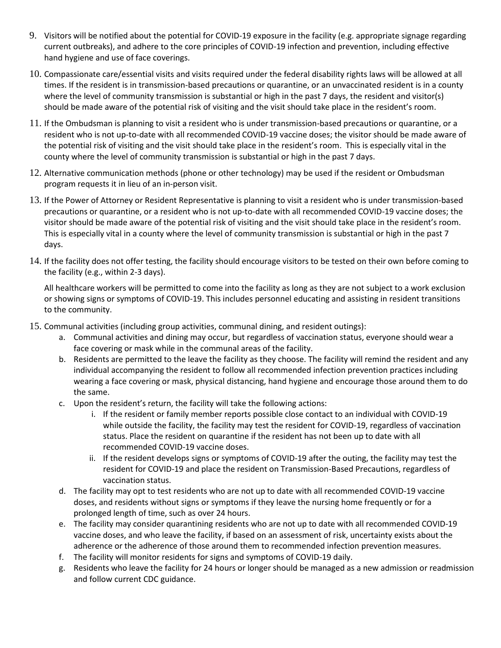- 9. Visitors will be notified about the potential for COVID-19 exposure in the facility (e.g. appropriate signage regarding current outbreaks), and adhere to the core principles of COVID-19 infection and prevention, including effective hand hygiene and use of face coverings.
- 10. Compassionate care/essential visits and visits required under the federal disability rights laws will be allowed at all times. If the resident is in transmission-based precautions or quarantine, or an unvaccinated resident is in a county where the level of community transmission is substantial or high in the past 7 days, the resident and visitor(s) should be made aware of the potential risk of visiting and the visit should take place in the resident's room.
- 11. If the Ombudsman is planning to visit a resident who is under transmission-based precautions or quarantine, or a resident who is not up-to-date with all recommended COVID-19 vaccine doses; the visitor should be made aware of the potential risk of visiting and the visit should take place in the resident's room. This is especially vital in the county where the level of community transmission is substantial or high in the past 7 days.
- 12. Alternative communication methods (phone or other technology) may be used if the resident or Ombudsman program requests it in lieu of an in-person visit.
- 13. If the Power of Attorney or Resident Representative is planning to visit a resident who is under transmission-based precautions or quarantine, or a resident who is not up-to-date with all recommended COVID-19 vaccine doses; the visitor should be made aware of the potential risk of visiting and the visit should take place in the resident's room. This is especially vital in a county where the level of community transmission is substantial or high in the past 7 days.
- 14. If the facility does not offer testing, the facility should encourage visitors to be tested on their own before coming to the facility (e.g., within 2-3 days).

All healthcare workers will be permitted to come into the facility as long as they are not subject to a work exclusion or showing signs or symptoms of COVID-19. This includes personnel educating and assisting in resident transitions to the community.

- 15. Communal activities (including group activities, communal dining, and resident outings):
	- a. Communal activities and dining may occur, but regardless of vaccination status, everyone should wear a face covering or mask while in the communal areas of the facility.
	- b. Residents are permitted to the leave the facility as they choose. The facility will remind the resident and any individual accompanying the resident to follow all recommended infection prevention practices including wearing a face covering or mask, physical distancing, hand hygiene and encourage those around them to do the same.
	- c. Upon the resident's return, the facility will take the following actions:
		- i. If the resident or family member reports possible close contact to an individual with COVID-19 while outside the facility, the facility may test the resident for COVID-19, regardless of vaccination status. Place the resident on quarantine if the resident has not been up to date with all recommended COVID-19 vaccine doses.
		- ii. If the resident develops signs or symptoms of COVID-19 after the outing, the facility may test the resident for COVID-19 and place the resident on Transmission-Based Precautions, regardless of vaccination status.
	- d. The facility may opt to test residents who are not up to date with all recommended COVID-19 vaccine doses, and residents without signs or symptoms if they leave the nursing home frequently or for a prolonged length of time, such as over 24 hours.
	- e. The facility may consider quarantining residents who are not up to date with all recommended COVID-19 vaccine doses, and who leave the facility, if based on an assessment of risk, uncertainty exists about the adherence or the adherence of those around them to recommended infection prevention measures.
	- f. The facility will monitor residents for signs and symptoms of COVID-19 daily.
	- g. Residents who leave the facility for 24 hours or longer should be managed as a new admission or readmission and follow current CDC guidance.